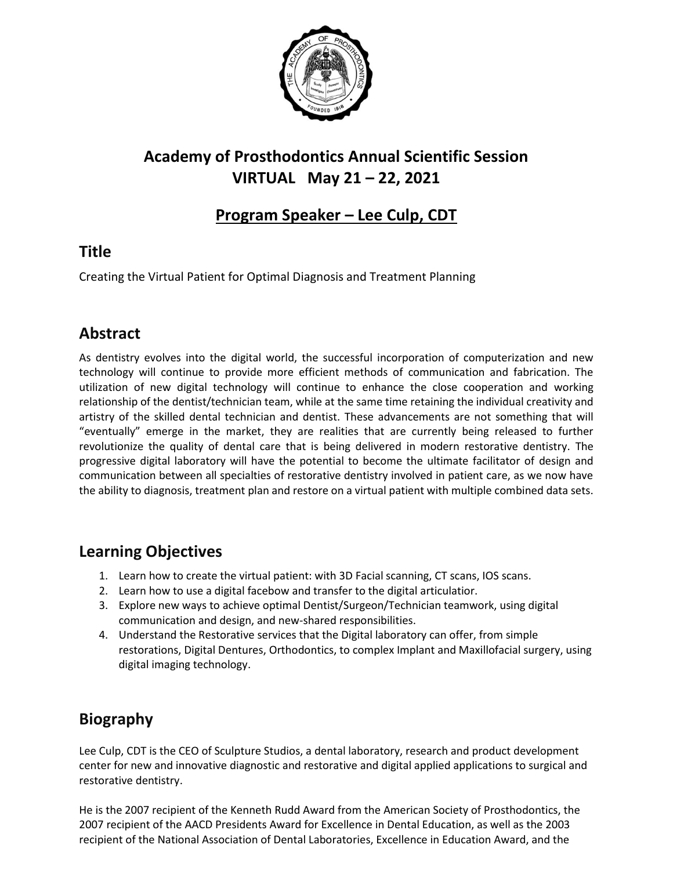

# **Academy of Prosthodontics Annual Scientific Session VIRTUAL May 21 – 22, 2021**

#### **Program Speaker – Lee Culp, CDT**

### **Title**

Creating the Virtual Patient for Optimal Diagnosis and Treatment Planning

### **Abstract**

As dentistry evolves into the digital world, the successful incorporation of computerization and new technology will continue to provide more efficient methods of communication and fabrication. The utilization of new digital technology will continue to enhance the close cooperation and working relationship of the dentist/technician team, while at the same time retaining the individual creativity and artistry of the skilled dental technician and dentist. These advancements are not something that will "eventually" emerge in the market, they are realities that are currently being released to further revolutionize the quality of dental care that is being delivered in modern restorative dentistry. The progressive digital laboratory will have the potential to become the ultimate facilitator of design and communication between all specialties of restorative dentistry involved in patient care, as we now have the ability to diagnosis, treatment plan and restore on a virtual patient with multiple combined data sets.

### **Learning Objectives**

- 1. Learn how to create the virtual patient: with 3D Facial scanning, CT scans, IOS scans.
- 2. Learn how to use a digital facebow and transfer to the digital articulatior.
- 3. Explore new ways to achieve optimal Dentist/Surgeon/Technician teamwork, using digital communication and design, and new-shared responsibilities.
- 4. Understand the Restorative services that the Digital laboratory can offer, from simple restorations, Digital Dentures, Orthodontics, to complex Implant and Maxillofacial surgery, using digital imaging technology.

## **Biography**

Lee Culp, CDT is the CEO of Sculpture Studios, a dental laboratory, research and product development center for new and innovative diagnostic and restorative and digital applied applications to surgical and restorative dentistry.

He is the 2007 recipient of the Kenneth Rudd Award from the American Society of Prosthodontics, the 2007 recipient of the AACD Presidents Award for Excellence in Dental Education, as well as the 2003 recipient of the National Association of Dental Laboratories, Excellence in Education Award, and the